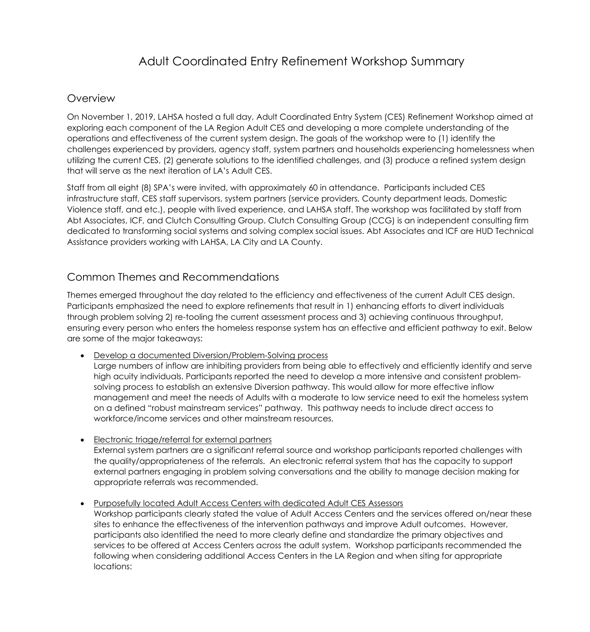# Adult Coordinated Entry Refinement Workshop Summary

### **Overview**

On November 1, 2019, LAHSA hosted a full day, Adult Coordinated Entry System (CES) Refinement Workshop aimed at exploring each component of the LA Region Adult CES and developing a more complete understanding of the operations and effectiveness of the current system design. The goals of the workshop were to (1) identify the challenges experienced by providers, agency staff, system partners and households experiencing homelessness when utilizing the current CES, (2) generate solutions to the identified challenges, and (3) produce a refined system design that will serve as the next iteration of LA's Adult CES.

Staff from all eight (8) SPA's were invited, with approximately 60 in attendance. Participants included CES infrastructure staff, CES staff supervisors, system partners (service providers, County department leads, Domestic Violence staff, and etc.), people with lived experience, and LAHSA staff. The workshop was facilitated by staff from Abt Associates, ICF, and Clutch Consulting Group. Clutch Consulting Group (CCG) is an independent consulting firm dedicated to transforming social systems and solving complex social issues. Abt Associates and ICF are HUD Technical Assistance providers working with LAHSA, LA City and LA County.

## Common Themes and Recommendations

Themes emerged throughout the day related to the efficiency and effectiveness of the current Adult CES design. Participants emphasized the need to explore refinements that result in 1) enhancing efforts to divert individuals through problem solving 2) re-tooling the current assessment process and 3) achieving continuous throughput, ensuring every person who enters the homeless response system has an effective and efficient pathway to exit. Below are some of the major takeaways:

• Develop a documented Diversion/Problem-Solving process

Large numbers of inflow are inhibiting providers from being able to effectively and efficiently identify and serve high acuity individuals. Participants reported the need to develop a more intensive and consistent problemsolving process to establish an extensive Diversion pathway. This would allow for more effective inflow management and meet the needs of Adults with a moderate to low service need to exit the homeless system on a defined "robust mainstream services" pathway. This pathway needs to include direct access to workforce/income services and other mainstream resources.

- Electronic triage/referral for external partners External system partners are a significant referral source and workshop participants reported challenges with the quality/appropriateness of the referrals. An electronic referral system that has the capacity to support external partners engaging in problem solving conversations and the ability to manage decision making for appropriate referrals was recommended.
- Purposefully located Adult Access Centers with dedicated Adult CES Assessors

Workshop participants clearly stated the value of Adult Access Centers and the services offered on/near these sites to enhance the effectiveness of the intervention pathways and improve Adult outcomes. However, participants also identified the need to more clearly define and standardize the primary objectives and services to be offered at Access Centers across the adult system. Workshop participants recommended the following when considering additional Access Centers in the LA Region and when siting for appropriate locations: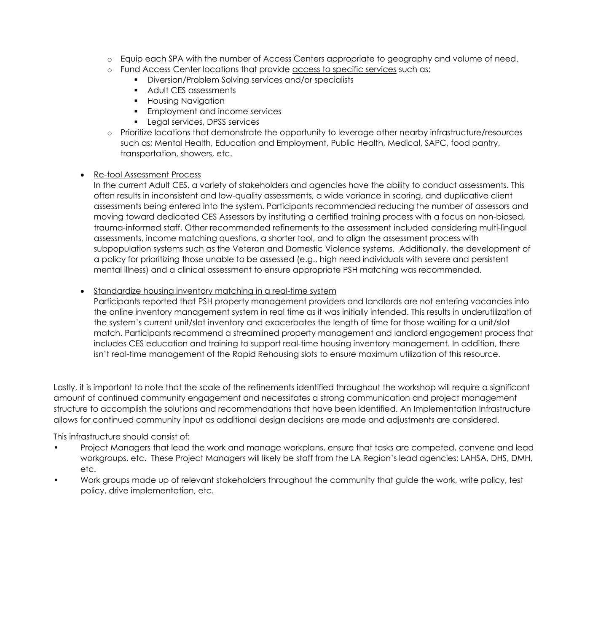- o Equip each SPA with the number of Access Centers appropriate to geography and volume of need.
- o Fund Access Center locations that provide access to specific services such as;
	- Diversion/Problem Solving services and/or specialists
	- Adult CES assessments
	- Housing Navigation
	- Employment and income services
	- **•** Legal services, DPSS services
- o Prioritize locations that demonstrate the opportunity to leverage other nearby infrastructure/resources such as; Mental Health, Education and Employment, Public Health, Medical, SAPC, food pantry, transportation, showers, etc.

#### • Re-tool Assessment Process

In the current Adult CES, a variety of stakeholders and agencies have the ability to conduct assessments. This often results in inconsistent and low-quality assessments, a wide variance in scoring, and duplicative client assessments being entered into the system. Participants recommended reducing the number of assessors and moving toward dedicated CES Assessors by instituting a certified training process with a focus on non-biased, trauma-informed staff. Other recommended refinements to the assessment included considering multi-lingual assessments, income matching questions, a shorter tool, and to align the assessment process with subpopulation systems such as the Veteran and Domestic Violence systems. Additionally, the development of a policy for prioritizing those unable to be assessed (e.g., high need individuals with severe and persistent mental illness) and a clinical assessment to ensure appropriate PSH matching was recommended.

#### • Standardize housing inventory matching in a real-time system

Participants reported that PSH property management providers and landlords are not entering vacancies into the online inventory management system in real time as it was initially intended. This results in underutilization of the system's current unit/slot inventory and exacerbates the length of time for those waiting for a unit/slot match. Participants recommend a streamlined property management and landlord engagement process that includes CES education and training to support real-time housing inventory management. In addition, there isn't real-time management of the Rapid Rehousing slots to ensure maximum utilization of this resource.

Lastly, it is important to note that the scale of the refinements identified throughout the workshop will require a significant amount of continued community engagement and necessitates a strong communication and project management structure to accomplish the solutions and recommendations that have been identified. An Implementation Infrastructure allows for continued community input as additional design decisions are made and adjustments are considered.

This infrastructure should consist of:

- Project Managers that lead the work and manage workplans, ensure that tasks are competed, convene and lead workgroups, etc. These Project Managers will likely be staff from the LA Region's lead agencies; LAHSA, DHS, DMH, etc.
- Work groups made up of relevant stakeholders throughout the community that guide the work, write policy, test policy, drive implementation, etc.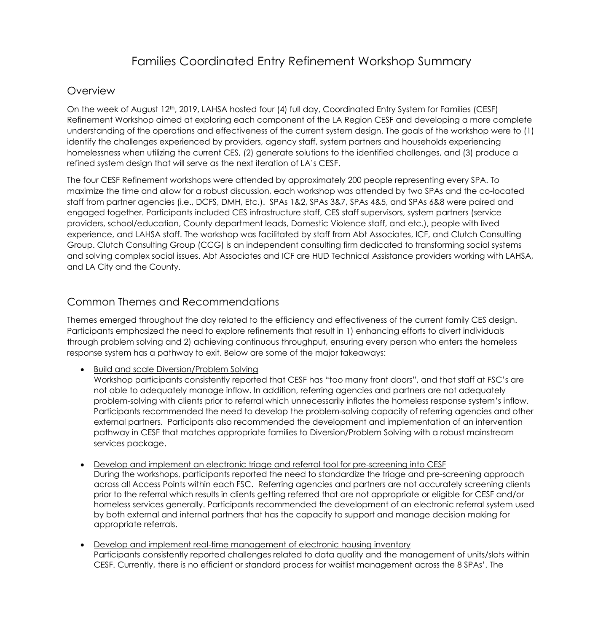# Families Coordinated Entry Refinement Workshop Summary

### **Overview**

On the week of August 12<sup>th</sup>, 2019, LAHSA hosted four (4) full day, Coordinated Entry System for Families (CESF) Refinement Workshop aimed at exploring each component of the LA Region CESF and developing a more complete understanding of the operations and effectiveness of the current system design. The goals of the workshop were to (1) identify the challenges experienced by providers, agency staff, system partners and households experiencing homelessness when utilizing the current CES, (2) generate solutions to the identified challenges, and (3) produce a refined system design that will serve as the next iteration of LA's CESF.

The four CESF Refinement workshops were attended by approximately 200 people representing every SPA. To maximize the time and allow for a robust discussion, each workshop was attended by two SPAs and the co-located staff from partner agencies (i.e., DCFS, DMH, Etc.). SPAs 1&2, SPAs 3&7, SPAs 4&5, and SPAs 6&8 were paired and engaged together. Participants included CES infrastructure staff, CES staff supervisors, system partners (service providers, school/education, County department leads, Domestic Violence staff, and etc.), people with lived experience, and LAHSA staff. The workshop was facilitated by staff from Abt Associates, ICF, and Clutch Consulting Group. Clutch Consulting Group (CCG) is an independent consulting firm dedicated to transforming social systems and solving complex social issues. Abt Associates and ICF are HUD Technical Assistance providers working with LAHSA, and LA City and the County.

## Common Themes and Recommendations

Themes emerged throughout the day related to the efficiency and effectiveness of the current family CES design. Participants emphasized the need to explore refinements that result in 1) enhancing efforts to divert individuals through problem solving and 2) achieving continuous throughput, ensuring every person who enters the homeless response system has a pathway to exit. Below are some of the major takeaways:

#### • Build and scale Diversion/Problem Solving

Workshop participants consistently reported that CESF has "too many front doors", and that staff at FSC's are not able to adequately manage inflow. In addition, referring agencies and partners are not adequately problem-solving with clients prior to referral which unnecessarily inflates the homeless response system's inflow. Participants recommended the need to develop the problem-solving capacity of referring agencies and other external partners. Participants also recommended the development and implementation of an intervention pathway in CESF that matches appropriate families to Diversion/Problem Solving with a robust mainstream services package.

- Develop and implement an electronic triage and referral tool for pre-screening into CESF During the workshops, participants reported the need to standardize the triage and pre-screening approach across all Access Points within each FSC. Referring agencies and partners are not accurately screening clients prior to the referral which results in clients getting referred that are not appropriate or eligible for CESF and/or homeless services generally. Participants recommended the development of an electronic referral system used by both external and internal partners that has the capacity to support and manage decision making for appropriate referrals.
- Develop and implement real-time management of electronic housing inventory Participants consistently reported challenges related to data quality and the management of units/slots within CESF. Currently, there is no efficient or standard process for waitlist management across the 8 SPAs'. The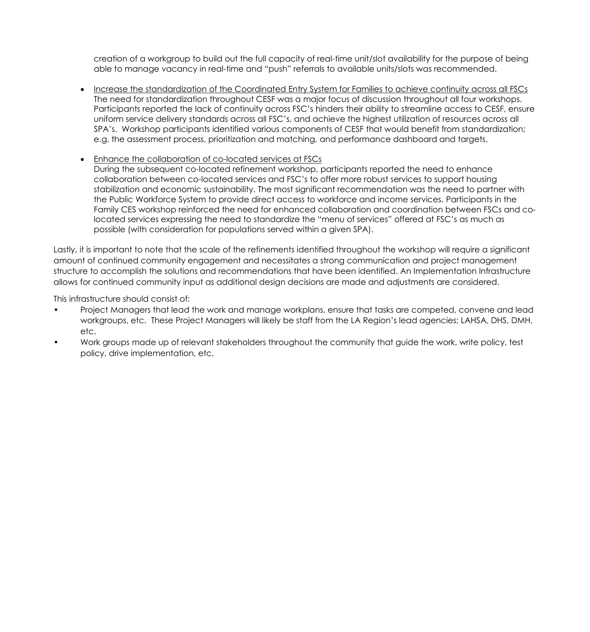creation of a workgroup to build out the full capacity of real-time unit/slot availability for the purpose of being able to manage vacancy in real-time and "push" referrals to available units/slots was recommended.

- Increase the standardization of the Coordinated Entry System for Families to achieve continuity across all FSCs The need for standardization throughout CESF was a major focus of discussion throughout all four workshops. Participants reported the lack of continuity across FSC's hinders their ability to streamline access to CESF, ensure uniform service delivery standards across all FSC's, and achieve the highest utilization of resources across all SPA's. Workshop participants identified various components of CESF that would benefit from standardization; e.g. the assessment process, prioritization and matching, and performance dashboard and targets.
- Enhance the collaboration of co-located services at FSCs During the subsequent co-located refinement workshop, participants reported the need to enhance collaboration between co-located services and FSC's to offer more robust services to support housing stabilization and economic sustainability. The most significant recommendation was the need to partner with the Public Workforce System to provide direct access to workforce and income services. Participants in the Family CES workshop reinforced the need for enhanced collaboration and coordination between FSCs and colocated services expressing the need to standardize the "menu of services" offered at FSC's as much as possible (with consideration for populations served within a given SPA).

Lastly, it is important to note that the scale of the refinements identified throughout the workshop will require a significant amount of continued community engagement and necessitates a strong communication and project management structure to accomplish the solutions and recommendations that have been identified. An Implementation Infrastructure allows for continued community input as additional design decisions are made and adjustments are considered.

This infrastructure should consist of:

- Project Managers that lead the work and manage workplans, ensure that tasks are competed, convene and lead workgroups, etc. These Project Managers will likely be staff from the LA Region's lead agencies; LAHSA, DHS, DMH, etc.
- Work groups made up of relevant stakeholders throughout the community that guide the work, write policy, test policy, drive implementation, etc.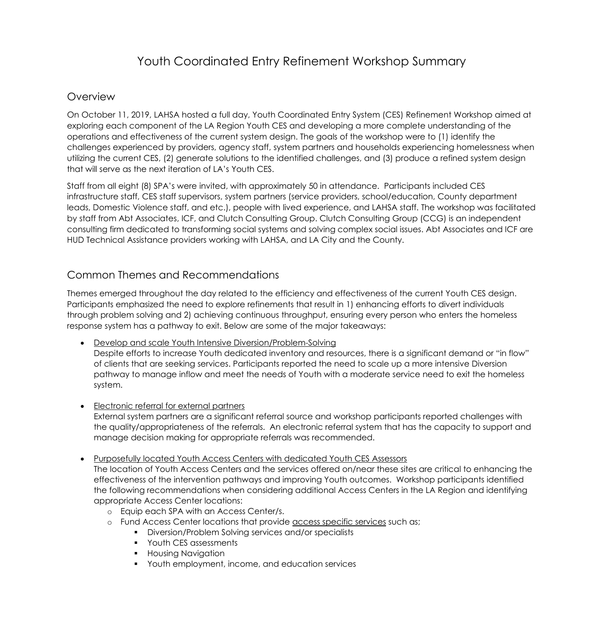# Youth Coordinated Entry Refinement Workshop Summary

### Overview

On October 11, 2019, LAHSA hosted a full day, Youth Coordinated Entry System (CES) Refinement Workshop aimed at exploring each component of the LA Region Youth CES and developing a more complete understanding of the operations and effectiveness of the current system design. The goals of the workshop were to (1) identify the challenges experienced by providers, agency staff, system partners and households experiencing homelessness when utilizing the current CES, (2) generate solutions to the identified challenges, and (3) produce a refined system design that will serve as the next iteration of LA's Youth CES.

Staff from all eight (8) SPA's were invited, with approximately 50 in attendance. Participants included CES infrastructure staff, CES staff supervisors, system partners (service providers, school/education, County department leads, Domestic Violence staff, and etc.), people with lived experience, and LAHSA staff. The workshop was facilitated by staff from Abt Associates, ICF, and Clutch Consulting Group. Clutch Consulting Group (CCG) is an independent consulting firm dedicated to transforming social systems and solving complex social issues. Abt Associates and ICF are HUD Technical Assistance providers working with LAHSA, and LA City and the County.

## Common Themes and Recommendations

Themes emerged throughout the day related to the efficiency and effectiveness of the current Youth CES design. Participants emphasized the need to explore refinements that result in 1) enhancing efforts to divert individuals through problem solving and 2) achieving continuous throughput, ensuring every person who enters the homeless response system has a pathway to exit. Below are some of the major takeaways:

- Develop and scale Youth Intensive Diversion/Problem-Solving Despite efforts to increase Youth dedicated inventory and resources, there is a significant demand or "in flow" of clients that are seeking services. Participants reported the need to scale up a more intensive Diversion pathway to manage inflow and meet the needs of Youth with a moderate service need to exit the homeless system.
- Electronic referral for external partners External system partners are a significant referral source and workshop participants reported challenges with the quality/appropriateness of the referrals. An electronic referral system that has the capacity to support and manage decision making for appropriate referrals was recommended.
- Purposefully located Youth Access Centers with dedicated Youth CES Assessors The location of Youth Access Centers and the services offered on/near these sites are critical to enhancing the effectiveness of the intervention pathways and improving Youth outcomes. Workshop participants identified the following recommendations when considering additional Access Centers in the LA Region and identifying appropriate Access Center locations:
	- o Equip each SPA with an Access Center/s.
	- o Fund Access Center locations that provide access specific services such as;
		- Diversion/Problem Solving services and/or specialists
		- Youth CES assessments
		- Housing Navigation
		- Youth employment, income, and education services